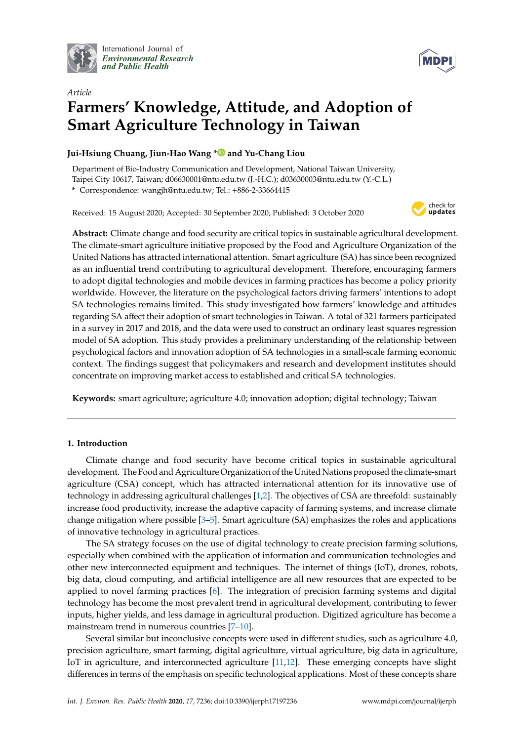

International Journal of *[Environmental Research](http://www.mdpi.com/journal/ijerph) and Public Health*



# *Article* **Farmers' Knowledge, Attitude, and Adoption of Smart Agriculture Technology in Taiwan**

# **Jui-Hsiung Chuang, Jiun-Hao Wang [\\*](https://orcid.org/0000-0001-7861-0341) and Yu-Chang Liou**

Department of Bio-Industry Communication and Development, National Taiwan University, Taipei City 10617, Taiwan; d06630001@ntu.edu.tw (J.-H.C.); d03630003@ntu.edu.tw (Y.-C.L.)

**\*** Correspondence: wangjh@ntu.edu.tw; Tel.: +886-2-33664415

Received: 15 August 2020; Accepted: 30 September 2020; Published: 3 October 2020



**Abstract:** Climate change and food security are critical topics in sustainable agricultural development. The climate-smart agriculture initiative proposed by the Food and Agriculture Organization of the United Nations has attracted international attention. Smart agriculture (SA) has since been recognized as an influential trend contributing to agricultural development. Therefore, encouraging farmers to adopt digital technologies and mobile devices in farming practices has become a policy priority worldwide. However, the literature on the psychological factors driving farmers' intentions to adopt SA technologies remains limited. This study investigated how farmers' knowledge and attitudes regarding SA affect their adoption of smart technologies in Taiwan. A total of 321 farmers participated in a survey in 2017 and 2018, and the data were used to construct an ordinary least squares regression model of SA adoption. This study provides a preliminary understanding of the relationship between psychological factors and innovation adoption of SA technologies in a small-scale farming economic context. The findings suggest that policymakers and research and development institutes should concentrate on improving market access to established and critical SA technologies.

**Keywords:** smart agriculture; agriculture 4.0; innovation adoption; digital technology; Taiwan

## **1. Introduction**

Climate change and food security have become critical topics in sustainable agricultural development. The Food and Agriculture Organization of the United Nations proposed the climate-smart agriculture (CSA) concept, which has attracted international attention for its innovative use of technology in addressing agricultural challenges [\[1,](#page-6-0)[2\]](#page-6-1). The objectives of CSA are threefold: sustainably increase food productivity, increase the adaptive capacity of farming systems, and increase climate change mitigation where possible [\[3–](#page-6-2)[5\]](#page-6-3). Smart agriculture (SA) emphasizes the roles and applications of innovative technology in agricultural practices.

The SA strategy focuses on the use of digital technology to create precision farming solutions, especially when combined with the application of information and communication technologies and other new interconnected equipment and techniques. The internet of things (IoT), drones, robots, big data, cloud computing, and artificial intelligence are all new resources that are expected to be applied to novel farming practices [\[6\]](#page-6-4). The integration of precision farming systems and digital technology has become the most prevalent trend in agricultural development, contributing to fewer inputs, higher yields, and less damage in agricultural production. Digitized agriculture has become a mainstream trend in numerous countries [\[7](#page-6-5)[–10\]](#page-7-0).

Several similar but inconclusive concepts were used in different studies, such as agriculture 4.0, precision agriculture, smart farming, digital agriculture, virtual agriculture, big data in agriculture, IoT in agriculture, and interconnected agriculture [\[11,](#page-7-1)[12\]](#page-7-2). These emerging concepts have slight differences in terms of the emphasis on specific technological applications. Most of these concepts share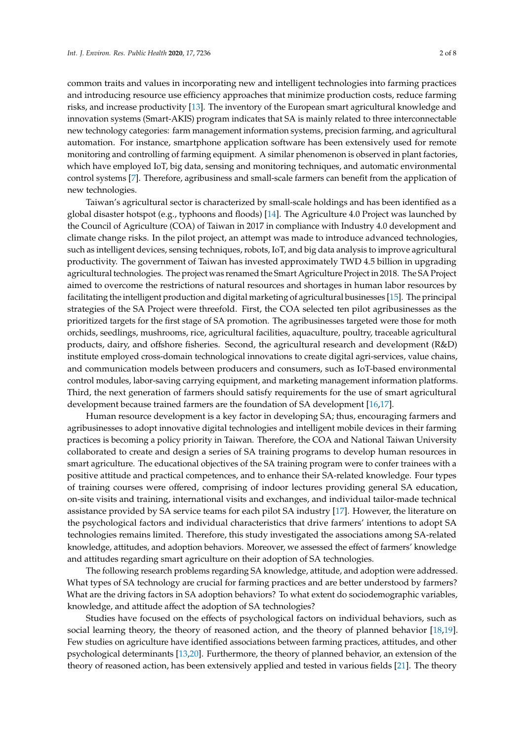common traits and values in incorporating new and intelligent technologies into farming practices and introducing resource use efficiency approaches that minimize production costs, reduce farming risks, and increase productivity [\[13\]](#page-7-3). The inventory of the European smart agricultural knowledge and innovation systems (Smart-AKIS) program indicates that SA is mainly related to three interconnectable new technology categories: farm management information systems, precision farming, and agricultural automation. For instance, smartphone application software has been extensively used for remote monitoring and controlling of farming equipment. A similar phenomenon is observed in plant factories, which have employed IoT, big data, sensing and monitoring techniques, and automatic environmental control systems [\[7\]](#page-6-5). Therefore, agribusiness and small-scale farmers can benefit from the application of new technologies.

Taiwan's agricultural sector is characterized by small-scale holdings and has been identified as a global disaster hotspot (e.g., typhoons and floods) [\[14\]](#page-7-4). The Agriculture 4.0 Project was launched by the Council of Agriculture (COA) of Taiwan in 2017 in compliance with Industry 4.0 development and climate change risks. In the pilot project, an attempt was made to introduce advanced technologies, such as intelligent devices, sensing techniques, robots, IoT, and big data analysis to improve agricultural productivity. The government of Taiwan has invested approximately TWD 4.5 billion in upgrading agricultural technologies. The project was renamed the Smart Agriculture Project in 2018. The SA Project aimed to overcome the restrictions of natural resources and shortages in human labor resources by facilitating the intelligent production and digital marketing of agricultural businesses [\[15\]](#page-7-5). The principal strategies of the SA Project were threefold. First, the COA selected ten pilot agribusinesses as the prioritized targets for the first stage of SA promotion. The agribusinesses targeted were those for moth orchids, seedlings, mushrooms, rice, agricultural facilities, aquaculture, poultry, traceable agricultural products, dairy, and offshore fisheries. Second, the agricultural research and development (R&D) institute employed cross-domain technological innovations to create digital agri-services, value chains, and communication models between producers and consumers, such as IoT-based environmental control modules, labor-saving carrying equipment, and marketing management information platforms. Third, the next generation of farmers should satisfy requirements for the use of smart agricultural development because trained farmers are the foundation of SA development [\[16,](#page-7-6)[17\]](#page-7-7).

Human resource development is a key factor in developing SA; thus, encouraging farmers and agribusinesses to adopt innovative digital technologies and intelligent mobile devices in their farming practices is becoming a policy priority in Taiwan. Therefore, the COA and National Taiwan University collaborated to create and design a series of SA training programs to develop human resources in smart agriculture. The educational objectives of the SA training program were to confer trainees with a positive attitude and practical competences, and to enhance their SA-related knowledge. Four types of training courses were offered, comprising of indoor lectures providing general SA education, on-site visits and training, international visits and exchanges, and individual tailor-made technical assistance provided by SA service teams for each pilot SA industry [\[17\]](#page-7-7). However, the literature on the psychological factors and individual characteristics that drive farmers' intentions to adopt SA technologies remains limited. Therefore, this study investigated the associations among SA-related knowledge, attitudes, and adoption behaviors. Moreover, we assessed the effect of farmers' knowledge and attitudes regarding smart agriculture on their adoption of SA technologies.

The following research problems regarding SA knowledge, attitude, and adoption were addressed. What types of SA technology are crucial for farming practices and are better understood by farmers? What are the driving factors in SA adoption behaviors? To what extent do sociodemographic variables, knowledge, and attitude affect the adoption of SA technologies?

Studies have focused on the effects of psychological factors on individual behaviors, such as social learning theory, the theory of reasoned action, and the theory of planned behavior [\[18,](#page-7-8)[19\]](#page-7-9). Few studies on agriculture have identified associations between farming practices, attitudes, and other psychological determinants [\[13,](#page-7-3)[20\]](#page-7-10). Furthermore, the theory of planned behavior, an extension of the theory of reasoned action, has been extensively applied and tested in various fields [\[21\]](#page-7-11). The theory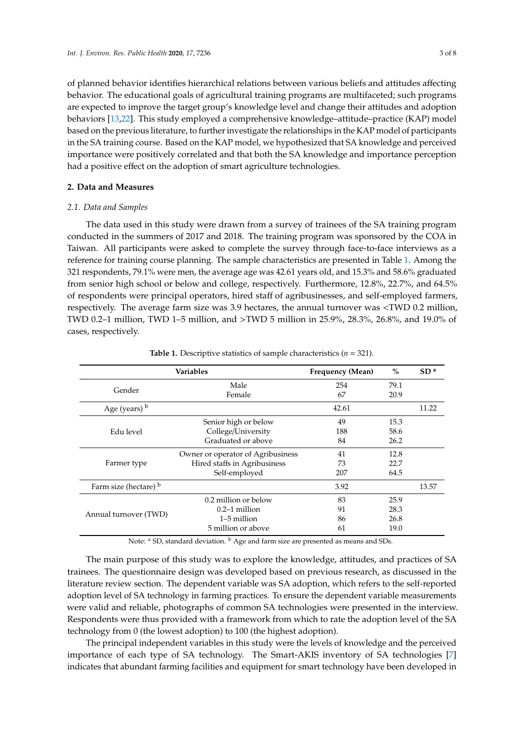of planned behavior identifies hierarchical relations between various beliefs and attitudes affecting behavior. The educational goals of agricultural training programs are multifaceted; such programs are expected to improve the target group's knowledge level and change their attitudes and adoption behaviors [\[13](#page-7-3)[,22\]](#page-7-12). This study employed a comprehensive knowledge–attitude–practice (KAP) model based on the previous literature, to further investigate the relationships in the KAP model of participants in the SA training course. Based on the KAP model, we hypothesized that SA knowledge and perceived importance were positively correlated and that both the SA knowledge and importance perception had a positive effect on the adoption of smart agriculture technologies.

## **2. Data and Measures**

### *2.1. Data and Samples*

The data used in this study were drawn from a survey of trainees of the SA training program conducted in the summers of 2017 and 2018. The training program was sponsored by the COA in Taiwan. All participants were asked to complete the survey through face-to-face interviews as a reference for training course planning. The sample characteristics are presented in Table [1.](#page-2-0) Among the 321 respondents, 79.1% were men, the average age was 42.61 years old, and 15.3% and 58.6% graduated from senior high school or below and college, respectively. Furthermore, 12.8%, 22.7%, and 64.5% of respondents were principal operators, hired staff of agribusinesses, and self-employed farmers, respectively. The average farm size was 3.9 hectares, the annual turnover was <TWD 0.2 million, TWD 0.2–1 million, TWD 1–5 million, and >TWD 5 million in 25.9%, 28.3%, 26.8%, and 19.0% of cases, respectively.

<span id="page-2-0"></span>

|                       | Variables                         | <b>Frequency (Mean)</b> | $\%$  | SD <sup>a</sup> |
|-----------------------|-----------------------------------|-------------------------|-------|-----------------|
|                       | Male                              | 254                     | 79.1  |                 |
| Gender                | Female                            | 67                      | 20.9  |                 |
| Age (years) $b$       |                                   | 42.61                   | 11.22 |                 |
|                       | Senior high or below              | 49                      | 15.3  |                 |
| Edu level             | College/University                | 188                     | 58.6  |                 |
|                       | Graduated or above                | 84                      | 26.2  |                 |
|                       | Owner or operator of Agribusiness | 41                      | 12.8  |                 |
| Farmer type           | Hired staffs in Agribusiness      | 73                      | 22.7  |                 |
|                       | Self-employed                     | 207                     | 64.5  |                 |
| Farm size (hectare) b |                                   | 3.92                    |       | 13.57           |
| Annual turnover (TWD) | 0.2 million or below              | 83                      | 25.9  |                 |
|                       | $0.2-1$ million                   | 91                      | 28.3  |                 |
|                       | $1-5$ million                     | 86                      | 26.8  |                 |
|                       | 5 million or above                | 61                      | 19.0  |                 |

**Table 1.** Descriptive statistics of sample characteristics (*n* = 321).

Note: <sup>a</sup> SD, standard deviation. <sup>b</sup> Age and farm size are presented as means and SDs.

The main purpose of this study was to explore the knowledge, attitudes, and practices of SA trainees. The questionnaire design was developed based on previous research, as discussed in the literature review section. The dependent variable was SA adoption, which refers to the self-reported adoption level of SA technology in farming practices. To ensure the dependent variable measurements were valid and reliable, photographs of common SA technologies were presented in the interview. Respondents were thus provided with a framework from which to rate the adoption level of the SA technology from 0 (the lowest adoption) to 100 (the highest adoption).

The principal independent variables in this study were the levels of knowledge and the perceived importance of each type of SA technology. The Smart-AKIS inventory of SA technologies [\[7\]](#page-6-5) indicates that abundant farming facilities and equipment for smart technology have been developed in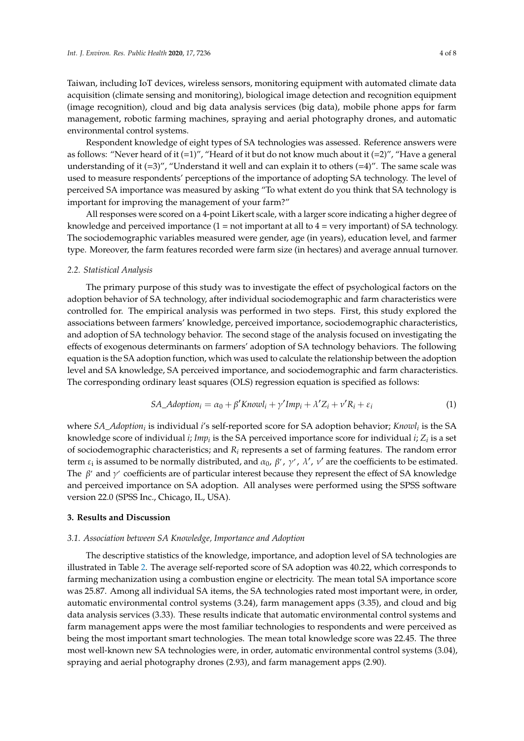Taiwan, including IoT devices, wireless sensors, monitoring equipment with automated climate data acquisition (climate sensing and monitoring), biological image detection and recognition equipment (image recognition), cloud and big data analysis services (big data), mobile phone apps for farm management, robotic farming machines, spraying and aerial photography drones, and automatic environmental control systems.

Respondent knowledge of eight types of SA technologies was assessed. Reference answers were as follows: "Never heard of it  $(=1)$ ", "Heard of it but do not know much about it  $(=2)$ ", "Have a general understanding of it (=3)", "Understand it well and can explain it to others (=4)". The same scale was used to measure respondents' perceptions of the importance of adopting SA technology. The level of perceived SA importance was measured by asking "To what extent do you think that SA technology is important for improving the management of your farm?"

All responses were scored on a 4-point Likert scale, with a larger score indicating a higher degree of knowledge and perceived importance  $(1 = not important at all to 4 = very important)$  of SA technology. The sociodemographic variables measured were gender, age (in years), education level, and farmer type. Moreover, the farm features recorded were farm size (in hectares) and average annual turnover.

### *2.2. Statistical Analysis*

The primary purpose of this study was to investigate the effect of psychological factors on the adoption behavior of SA technology, after individual sociodemographic and farm characteristics were controlled for. The empirical analysis was performed in two steps. First, this study explored the associations between farmers' knowledge, perceived importance, sociodemographic characteristics, and adoption of SA technology behavior. The second stage of the analysis focused on investigating the effects of exogenous determinants on farmers' adoption of SA technology behaviors. The following equation is the SA adoption function, which was used to calculate the relationship between the adoption level and SA knowledge, SA perceived importance, and sociodemographic and farm characteristics. The corresponding ordinary least squares (OLS) regression equation is specified as follows:

SA\_Adoption<sub>i</sub> = 
$$
\alpha_0 + \beta' Knovl_i + \gamma' Imp_i + \lambda' Z_i + \nu' R_i + \varepsilon_i
$$
 (1)

where *SA\_Adoption<sup>i</sup>* is individual *i*'s self-reported score for SA adoption behavior; *Knowl<sup>i</sup>* is the SA knowledge score of individual *i; Imp<sub>i</sub>* is the SA perceived importance score for individual *i; Z<sub>i</sub>* is a set of sociodemographic characteristics; and *R<sup>i</sup>* represents a set of farming features. The random error term  $\varepsilon_1$  is assumed to be normally distributed, and  $\alpha_0$ ,  $\beta'$ ,  $\gamma'$ ,  $\lambda'$ ,  $\nu'$  are the coefficients to be estimated. The  $\beta'$  and  $\gamma'$  coefficients are of particular interest because they represent the effect of SA knowledge and perceived importance on SA adoption. All analyses were performed using the SPSS software version 22.0 (SPSS Inc., Chicago, IL, USA).

### **3. Results and Discussion**

#### *3.1. Association between SA Knowledge, Importance and Adoption*

The descriptive statistics of the knowledge, importance, and adoption level of SA technologies are illustrated in Table [2.](#page-4-0) The average self-reported score of SA adoption was 40.22, which corresponds to farming mechanization using a combustion engine or electricity. The mean total SA importance score was 25.87. Among all individual SA items, the SA technologies rated most important were, in order, automatic environmental control systems (3.24), farm management apps (3.35), and cloud and big data analysis services (3.33). These results indicate that automatic environmental control systems and farm management apps were the most familiar technologies to respondents and were perceived as being the most important smart technologies. The mean total knowledge score was 22.45. The three most well-known new SA technologies were, in order, automatic environmental control systems (3.04), spraying and aerial photography drones (2.93), and farm management apps (2.90).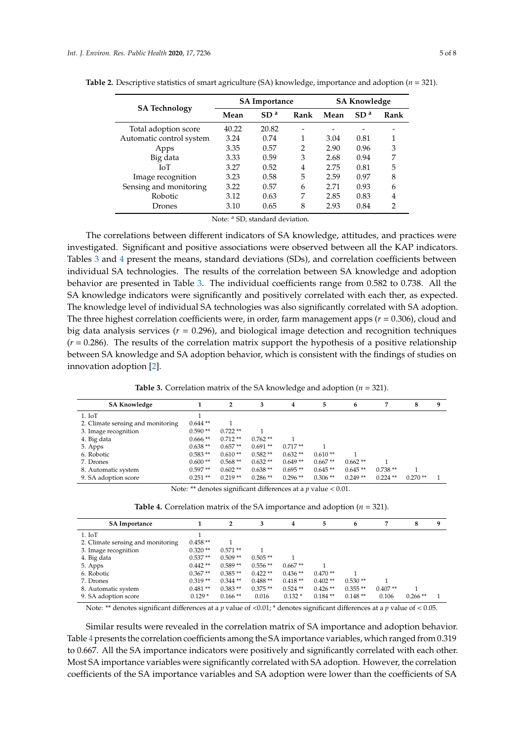|                          |       | <b>SA Importance</b> | <b>SA Knowledge</b> |      |                 |      |
|--------------------------|-------|----------------------|---------------------|------|-----------------|------|
| <b>SA Technology</b>     | Mean  | SD <sup>a</sup>      | Rank                | Mean | SD <sup>a</sup> | Rank |
| Total adoption score     | 40.22 | 20.82                |                     |      |                 |      |
| Automatic control system | 3.24  | 0.74                 |                     | 3.04 | 0.81            |      |
| Apps                     | 3.35  | 0.57                 | $\mathfrak{D}$      | 2.90 | 0.96            | 3    |
| Big data                 | 3.33  | 0.59                 | 3                   | 2.68 | 0.94            | 7    |
| <b>IoT</b>               | 3.27  | 0.52                 | 4                   | 2.75 | 0.81            | 5    |
| Image recognition        | 3.23  | 0.58                 | 5                   | 2.59 | 0.97            | 8    |
| Sensing and monitoring   | 3.22  | 0.57                 | 6                   | 2.71 | 0.93            | 6    |
| Robotic                  | 3.12  | 0.63                 | 7                   | 2.85 | 0.83            | 4    |
| Drones                   | 3.10  | 0.65                 | 8                   | 2.93 | 0.84            | 2    |
|                          |       |                      |                     |      |                 |      |

<span id="page-4-0"></span>**Table 2.** Descriptive statistics of smart agriculture (SA) knowledge, importance and adoption (*n* = 321).

Note: <sup>a</sup> SD, standard deviation.

The correlations between different indicators of SA knowledge, attitudes, and practices were investigated. Significant and positive associations were observed between all the KAP indicators. Tables [3](#page-4-1) and [4](#page-4-2) present the means, standard deviations (SDs), and correlation coefficients between individual SA technologies. The results of the correlation between SA knowledge and adoption behavior are presented in Table [3.](#page-4-1) The individual coefficients range from 0.582 to 0.738. All the SA knowledge indicators were significantly and positively correlated with each ther, as expected. The knowledge level of individual SA technologies was also significantly correlated with SA adoption. The three highest correlation coefficients were, in order, farm management apps (*r* = 0.306), cloud and big data analysis services ( $r = 0.296$ ), and biological image detection and recognition techniques  $(r = 0.286)$ . The results of the correlation matrix support the hypothesis of a positive relationship between SA knowledge and SA adoption behavior, which is consistent with the findings of studies on innovation adoption [\[2\]](#page-6-1).

**Table 3.** Correlation matrix of the SA knowledge and adoption (*n* = 321).

<span id="page-4-1"></span>

| <b>SA Knowledge</b>               |           | 2         | 3         | 4                             | 5         | 6                    | 7          | 8         | 9 |
|-----------------------------------|-----------|-----------|-----------|-------------------------------|-----------|----------------------|------------|-----------|---|
| 1.1 <sub>o</sub> T                |           |           |           |                               |           |                      |            |           |   |
| 2. Climate sensing and monitoring | $0.644**$ |           |           |                               |           |                      |            |           |   |
| 3. Image recognition              | $0.590**$ | $0.722**$ |           |                               |           |                      |            |           |   |
| 4. Big data                       | $0.666**$ | $0.712**$ | $0.762**$ |                               |           |                      |            |           |   |
| 5. Apps                           | $0.638**$ | $0.657**$ | $0.691**$ | $0.717**$                     |           |                      |            |           |   |
| 6. Robotic                        | $0.583**$ | $0.610**$ | $0.582**$ | $0.632**$                     | $0.610**$ |                      |            |           |   |
| 7. Drones                         | $0.600**$ | $0.568**$ | $0.632**$ | $0.649**$                     | $0.667**$ | $0.662**$            |            |           |   |
| 8. Automatic system               | $0.597**$ | $0.602**$ | $0.638**$ | $0.695**$                     | $0.645**$ | $0.645**$            | $0.738**$  |           |   |
| 9. SA adoption score              | $0.251**$ | $0.219**$ | $0.286**$ | $0.296**$                     | $0.306**$ | $0.249**$            | $0.224$ ** | $0.270**$ |   |
|                                   |           |           |           | the control of the control of |           | $\sim$ $\sim$ $\sim$ |            |           |   |

Note: \*\* denotes significant differences at a *p* value < 0.01.

**Table 4.** Correlation matrix of the SA importance and adoption ( $n = 321$ ).

<span id="page-4-2"></span>

| <b>SA Importance</b>              |           | 2          | 3         | 4          | 5          | 6         | 7         | 8         | q |
|-----------------------------------|-----------|------------|-----------|------------|------------|-----------|-----------|-----------|---|
| 1.1 <sub>o</sub> T                |           |            |           |            |            |           |           |           |   |
| 2. Climate sensing and monitoring | $0.458**$ |            |           |            |            |           |           |           |   |
| 3. Image recognition              | $0.320**$ | $0.571**$  |           |            |            |           |           |           |   |
| 4. Big data                       | $0.537**$ | $0.509**$  | $0.505**$ |            |            |           |           |           |   |
| 5. Apps                           | $0.442**$ | $0.589**$  | $0.556**$ | $0.667**$  |            |           |           |           |   |
| 6. Robotic                        | $0.367**$ | $0.385**$  | $0.422**$ | $0.436**$  | $0.470**$  |           |           |           |   |
| 7. Drones                         | $0.319**$ | $0.344$ ** | $0.488**$ | $0.418**$  | $0.402**$  | $0.530**$ |           |           |   |
| 8. Automatic system               | $0.481**$ | $0.383**$  | $0.375**$ | $0.524$ ** | $0.426$ ** | $0.355**$ | $0.407**$ |           |   |
| 9. SA adoption score              | $0.129*$  | $0.166**$  | 0.016     | $0.132*$   | $0.184**$  | $0.148**$ | 0.106     | $0.266**$ |   |

Note: \*\* denotes significant differences at a *p* value of <0.01; \* denotes significant differences at a *p* value of <0.05.

Similar results were revealed in the correlation matrix of SA importance and adoption behavior. Table [4](#page-4-2) presents the correlation coefficients among the SA importance variables, which ranged from 0.319 to 0.667. All the SA importance indicators were positively and significantly correlated with each other. Most SA importance variables were significantly correlated with SA adoption. However, the correlation coefficients of the SA importance variables and SA adoption were lower than the coefficients of SA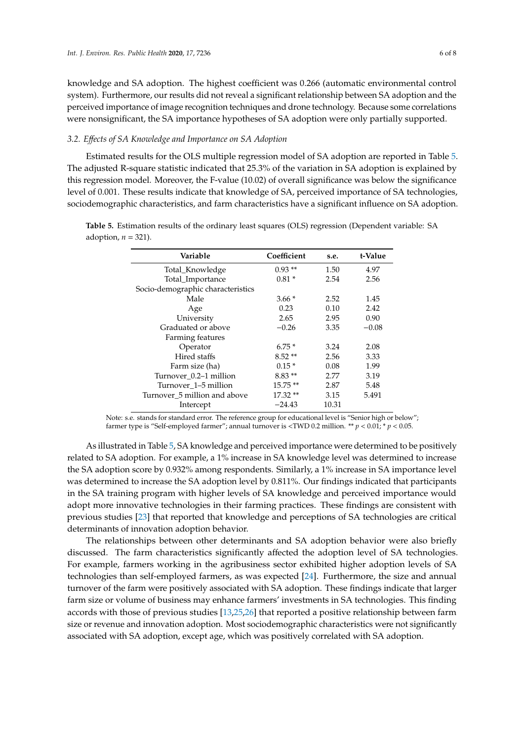knowledge and SA adoption. The highest coefficient was 0.266 (automatic environmental control system). Furthermore, our results did not reveal a significant relationship between SA adoption and the perceived importance of image recognition techniques and drone technology. Because some correlations were nonsignificant, the SA importance hypotheses of SA adoption were only partially supported.

## *3.2. E*ff*ects of SA Knowledge and Importance on SA Adoption*

Estimated results for the OLS multiple regression model of SA adoption are reported in Table [5.](#page-5-0) The adjusted R-square statistic indicated that 25.3% of the variation in SA adoption is explained by this regression model. Moreover, the F-value (10.02) of overall significance was below the significance level of 0.001. These results indicate that knowledge of SA, perceived importance of SA technologies, sociodemographic characteristics, and farm characteristics have a significant influence on SA adoption.

<span id="page-5-0"></span>**Table 5.** Estimation results of the ordinary least squares (OLS) regression (Dependent variable: SA adoption,  $n = 321$ ).

| Variable                          | Coefficient | s.e.  | t-Value |
|-----------------------------------|-------------|-------|---------|
| Total_Knowledge                   | $0.93**$    | 1.50  | 4.97    |
| Total_Importance                  | $0.81*$     | 2.54  | 2.56    |
| Socio-demographic characteristics |             |       |         |
| Male                              | $3.66*$     | 2.52  | 1.45    |
| Age                               | 0.23        | 0.10  | 2.42    |
| University                        | 2.65        | 2.95  | 0.90    |
| Graduated or above                | $-0.26$     | 3.35  | $-0.08$ |
| Farming features                  |             |       |         |
| Operator                          | $6.75*$     | 3.24  | 2.08    |
| Hired staffs                      | $8.52**$    | 2.56  | 3.33    |
| Farm size (ha)                    | $0.15*$     | 0.08  | 1.99    |
| Turnover 0.2–1 million            | $8.83**$    | 2.77  | 3.19    |
| Turnover 1–5 million              | $15.75**$   | 2.87  | 5.48    |
| Turnover_5 million and above      | $17.32**$   | 3.15  | 5.491   |
| Intercept                         | $-24.43$    | 10.31 |         |

Note: s.e. stands for standard error. The reference group for educational level is "Senior high or below"; farmer type is "Self-employed farmer"; annual turnover is <TWD 0.2 million. \*\*  $p < 0.01$ ; \*  $p < 0.05$ .

As illustrated in Table [5,](#page-5-0) SA knowledge and perceived importance were determined to be positively related to SA adoption. For example, a 1% increase in SA knowledge level was determined to increase the SA adoption score by 0.932% among respondents. Similarly, a 1% increase in SA importance level was determined to increase the SA adoption level by 0.811%. Our findings indicated that participants in the SA training program with higher levels of SA knowledge and perceived importance would adopt more innovative technologies in their farming practices. These findings are consistent with previous studies [\[23\]](#page-7-13) that reported that knowledge and perceptions of SA technologies are critical determinants of innovation adoption behavior.

The relationships between other determinants and SA adoption behavior were also briefly discussed. The farm characteristics significantly affected the adoption level of SA technologies. For example, farmers working in the agribusiness sector exhibited higher adoption levels of SA technologies than self-employed farmers, as was expected [\[24\]](#page-7-14). Furthermore, the size and annual turnover of the farm were positively associated with SA adoption. These findings indicate that larger farm size or volume of business may enhance farmers' investments in SA technologies. This finding accords with those of previous studies [\[13](#page-7-3)[,25](#page-7-15)[,26\]](#page-7-16) that reported a positive relationship between farm size or revenue and innovation adoption. Most sociodemographic characteristics were not significantly associated with SA adoption, except age, which was positively correlated with SA adoption.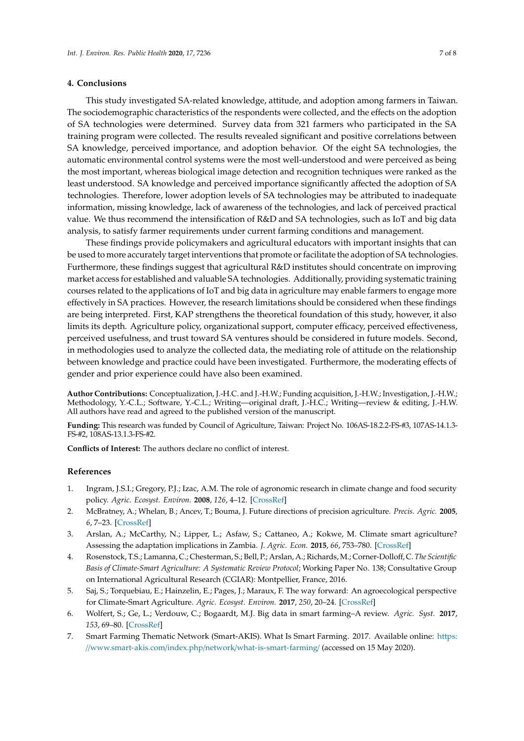## **4. Conclusions**

This study investigated SA-related knowledge, attitude, and adoption among farmers in Taiwan. The sociodemographic characteristics of the respondents were collected, and the effects on the adoption of SA technologies were determined. Survey data from 321 farmers who participated in the SA training program were collected. The results revealed significant and positive correlations between SA knowledge, perceived importance, and adoption behavior. Of the eight SA technologies, the automatic environmental control systems were the most well-understood and were perceived as being the most important, whereas biological image detection and recognition techniques were ranked as the least understood. SA knowledge and perceived importance significantly affected the adoption of SA technologies. Therefore, lower adoption levels of SA technologies may be attributed to inadequate information, missing knowledge, lack of awareness of the technologies, and lack of perceived practical value. We thus recommend the intensification of R&D and SA technologies, such as IoT and big data analysis, to satisfy farmer requirements under current farming conditions and management.

These findings provide policymakers and agricultural educators with important insights that can be used to more accurately target interventions that promote or facilitate the adoption of SA technologies. Furthermore, these findings suggest that agricultural R&D institutes should concentrate on improving market access for established and valuable SA technologies. Additionally, providing systematic training courses related to the applications of IoT and big data in agriculture may enable farmers to engage more effectively in SA practices. However, the research limitations should be considered when these findings are being interpreted. First, KAP strengthens the theoretical foundation of this study, however, it also limits its depth. Agriculture policy, organizational support, computer efficacy, perceived effectiveness, perceived usefulness, and trust toward SA ventures should be considered in future models. Second, in methodologies used to analyze the collected data, the mediating role of attitude on the relationship between knowledge and practice could have been investigated. Furthermore, the moderating effects of gender and prior experience could have also been examined.

**Author Contributions:** Conceptualization, J.-H.C. and J.-H.W.; Funding acquisition, J.-H.W.; Investigation, J.-H.W.; Methodology, Y.-C.L.; Software, Y.-C.L.; Writing—original draft, J.-H.C.; Writing—review & editing, J.-H.W. All authors have read and agreed to the published version of the manuscript.

**Funding:** This research was funded by Council of Agriculture, Taiwan: Project No. 106AS-18.2.2-FS-#3, 107AS-14.1.3- FS-#2, 108AS-13.1.3-FS-#2.

**Conflicts of Interest:** The authors declare no conflict of interest.

#### **References**

- <span id="page-6-0"></span>1. Ingram, J.S.I.; Gregory, P.J.; Izac, A.M. The role of agronomic research in climate change and food security policy. *Agric. Ecosyst. Environ.* **2008**, *126*, 4–12. [\[CrossRef\]](http://dx.doi.org/10.1016/j.agee.2008.01.009)
- <span id="page-6-1"></span>2. McBratney, A.; Whelan, B.; Ancev, T.; Bouma, J. Future directions of precision agriculture. *Precis. Agric.* **2005**, *6*, 7–23. [\[CrossRef\]](http://dx.doi.org/10.1007/s11119-005-0681-8)
- <span id="page-6-2"></span>3. Arslan, A.; McCarthy, N.; Lipper, L.; Asfaw, S.; Cattaneo, A.; Kokwe, M. Climate smart agriculture? Assessing the adaptation implications in Zambia. *J. Agric. Econ.* **2015**, *66*, 753–780. [\[CrossRef\]](http://dx.doi.org/10.1111/1477-9552.12107)
- 4. Rosenstock, T.S.; Lamanna, C.; Chesterman, S.; Bell, P.; Arslan, A.; Richards, M.; Corner-Dolloff, C. *The Scientific Basis of Climate-Smart Agriculture: A Systematic Review Protocol*; Working Paper No. 138; Consultative Group on International Agricultural Research (CGIAR): Montpellier, France, 2016.
- <span id="page-6-3"></span>5. Saj, S.; Torquebiau, E.; Hainzelin, E.; Pages, J.; Maraux, F. The way forward: An agroecological perspective for Climate-Smart Agriculture. *Agric. Ecosyst. Environ.* **2017**, *250*, 20–24. [\[CrossRef\]](http://dx.doi.org/10.1016/j.agee.2017.09.003)
- <span id="page-6-4"></span>6. Wolfert, S.; Ge, L.; Verdouw, C.; Bogaardt, M.J. Big data in smart farming–A review. *Agric. Syst.* **2017**, *153*, 69–80. [\[CrossRef\]](http://dx.doi.org/10.1016/j.agsy.2017.01.023)
- <span id="page-6-5"></span>7. Smart Farming Thematic Network (Smart-AKIS). What Is Smart Farming. 2017. Available online: [https:](https://www.smart-akis.com/index.php/network/what-is-smart-farming/) //www.smart-akis.com/index.php/network/[what-is-smart-farming](https://www.smart-akis.com/index.php/network/what-is-smart-farming/)/ (accessed on 15 May 2020).